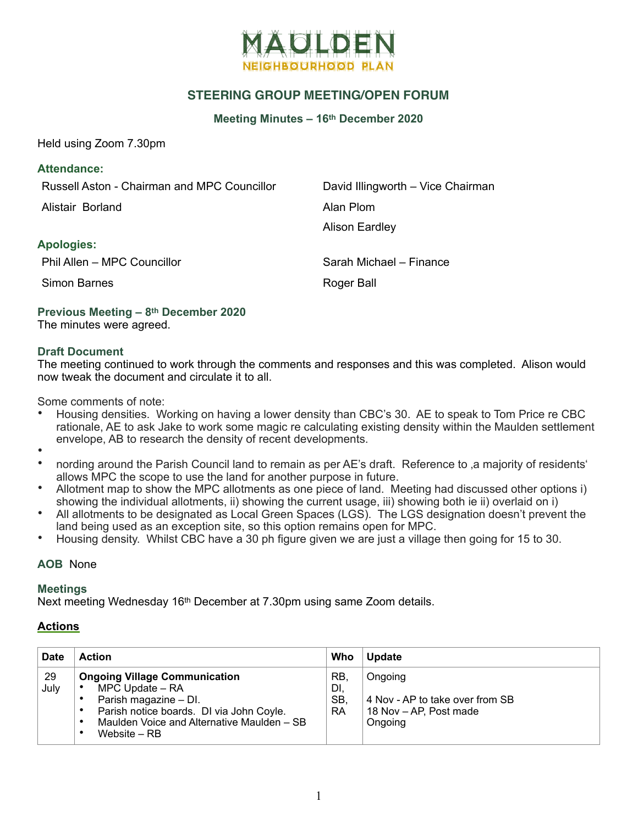

# **STEERING GROUP MEETING/OPEN FORUM**

**Meeting Minutes – 16th December 2020**

Held using Zoom 7.30pm

Russell Aston - Chairman and MPC Councillor David Illingworth – Vice Chairman

Alistair Borland **Alistair Borland** 

Alison Eardley

## **Apologies:**

Phil Allen – MPC Councillor Constant Control Council Constant Council Council Council Council Council Council Council Council Council Council Council Council Council Council Council Council Council Council Council Council

Simon Barnes **Roger Ball** 

**Previous Meeting – 8th December 2020**  The minutes were agreed.

#### **Draft Document**

The meeting continued to work through the comments and responses and this was completed. Alison would now tweak the document and circulate it to all.

Some comments of note:

- Housing densities. Working on having a lower density than CBC's 30. AE to speak to Tom Price re CBC rationale, AE to ask Jake to work some magic re calculating existing density within the Maulden settlement envelope, AB to research the density of recent developments.
- •
- nording around the Parish Council land to remain as per AE's draft. Reference to ,a majority of residents' allows MPC the scope to use the land for another purpose in future.
- Allotment map to show the MPC allotments as one piece of land. Meeting had discussed other options i) showing the individual allotments, ii) showing the current usage, iii) showing both ie ii) overlaid on i)
- All allotments to be designated as Local Green Spaces (LGS). The LGS designation doesn't prevent the land being used as an exception site, so this option remains open for MPC.
- Housing density. Whilst CBC have a 30 ph figure given we are just a village then going for 15 to 30.

## **AOB** None

#### **Meetings**

Next meeting Wednesday 16th December at 7.30pm using same Zoom details.

## **Actions**

| <b>Date</b> | <b>Action</b>                                                                                                                                                                                                     | Who                                  | <b>Update</b>                                                                   |
|-------------|-------------------------------------------------------------------------------------------------------------------------------------------------------------------------------------------------------------------|--------------------------------------|---------------------------------------------------------------------------------|
| 29<br>July  | <b>Ongoing Village Communication</b><br>MPC Update – RA<br>$\bullet$<br>Parish magazine - DI.<br>Parish notice boards. DI via John Coyle.<br>٠<br>Maulden Voice and Alternative Maulden - SB<br>٠<br>Website – RB | <b>RB</b><br>DI,<br>SB,<br><b>RA</b> | Ongoing<br>4 Nov - AP to take over from SB<br>18 Nov - AP, Post made<br>Ongoing |